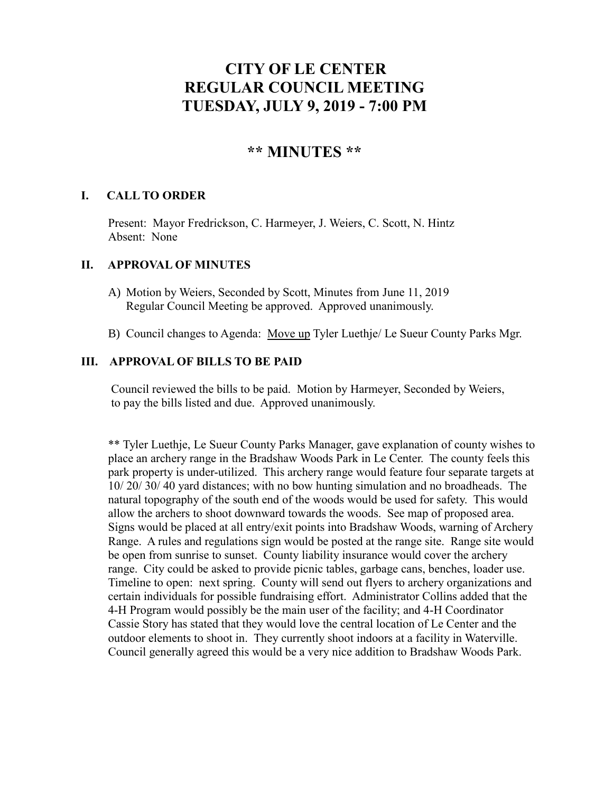# **CITY OF LE CENTER REGULAR COUNCIL MEETING TUESDAY, JULY 9, 2019 - 7:00 PM**

# **\*\* MINUTES \*\***

# **I. CALL TO ORDER**

Present: Mayor Fredrickson, C. Harmeyer, J. Weiers, C. Scott, N. Hintz Absent: None

#### **II. APPROVAL OF MINUTES**

- A) Motion by Weiers, Seconded by Scott, Minutes from June 11, 2019 Regular Council Meeting be approved. Approved unanimously.
- B) Council changes to Agenda: Move up Tyler Luethje/ Le Sueur County Parks Mgr.

#### **III. APPROVAL OF BILLS TO BE PAID**

Council reviewed the bills to be paid. Motion by Harmeyer, Seconded by Weiers, to pay the bills listed and due. Approved unanimously.

\*\* Tyler Luethje, Le Sueur County Parks Manager, gave explanation of county wishes to place an archery range in the Bradshaw Woods Park in Le Center. The county feels this park property is under-utilized. This archery range would feature four separate targets at 10/ 20/ 30/ 40 yard distances; with no bow hunting simulation and no broadheads. The natural topography of the south end of the woods would be used for safety. This would allow the archers to shoot downward towards the woods. See map of proposed area. Signs would be placed at all entry/exit points into Bradshaw Woods, warning of Archery Range. A rules and regulations sign would be posted at the range site. Range site would be open from sunrise to sunset. County liability insurance would cover the archery range. City could be asked to provide picnic tables, garbage cans, benches, loader use. Timeline to open: next spring. County will send out flyers to archery organizations and certain individuals for possible fundraising effort. Administrator Collins added that the 4-H Program would possibly be the main user of the facility; and 4-H Coordinator Cassie Story has stated that they would love the central location of Le Center and the outdoor elements to shoot in. They currently shoot indoors at a facility in Waterville. Council generally agreed this would be a very nice addition to Bradshaw Woods Park.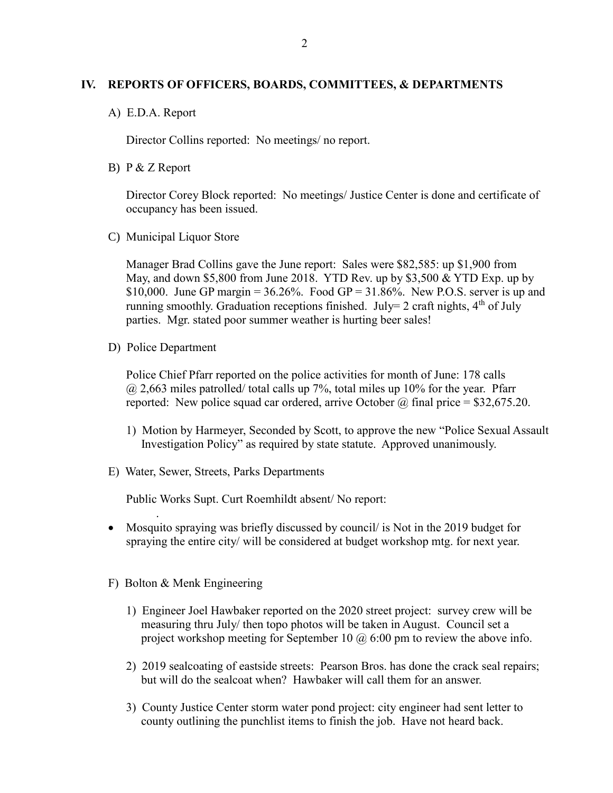### **IV. REPORTS OF OFFICERS, BOARDS, COMMITTEES, & DEPARTMENTS**

A) E.D.A. Report

Director Collins reported: No meetings/ no report.

B) P & Z Report

Director Corey Block reported: No meetings/ Justice Center is done and certificate of occupancy has been issued.

C) Municipal Liquor Store

Manager Brad Collins gave the June report: Sales were \$82,585: up \$1,900 from May, and down \$5,800 from June 2018. YTD Rev. up by \$3,500  $&$  YTD Exp. up by \$10,000. June GP margin =  $36.26\%$ . Food GP =  $31.86\%$ . New P.O.S. server is up and running smoothly. Graduation receptions finished. July= 2 craft nights,  $4<sup>th</sup>$  of July parties. Mgr. stated poor summer weather is hurting beer sales!

D) Police Department

.

Police Chief Pfarr reported on the police activities for month of June: 178 calls  $\omega$  2,663 miles patrolled/ total calls up 7%, total miles up 10% for the year. Pfarr reported: New police squad car ordered, arrive October  $\omega$  final price = \$32,675.20.

- 1) Motion by Harmeyer, Seconded by Scott, to approve the new "Police Sexual Assault Investigation Policy" as required by state statute. Approved unanimously.
- E) Water, Sewer, Streets, Parks Departments

Public Works Supt. Curt Roemhildt absent/ No report:

- Mosquito spraying was briefly discussed by council/ is Not in the 2019 budget for spraying the entire city/ will be considered at budget workshop mtg. for next year.
- F) Bolton & Menk Engineering
	- 1) Engineer Joel Hawbaker reported on the 2020 street project: survey crew will be measuring thru July/ then topo photos will be taken in August. Council set a project workshop meeting for September 10  $\omega$  6:00 pm to review the above info.
	- 2) 2019 sealcoating of eastside streets: Pearson Bros. has done the crack seal repairs; but will do the sealcoat when? Hawbaker will call them for an answer.
	- 3) County Justice Center storm water pond project: city engineer had sent letter to county outlining the punchlist items to finish the job. Have not heard back.